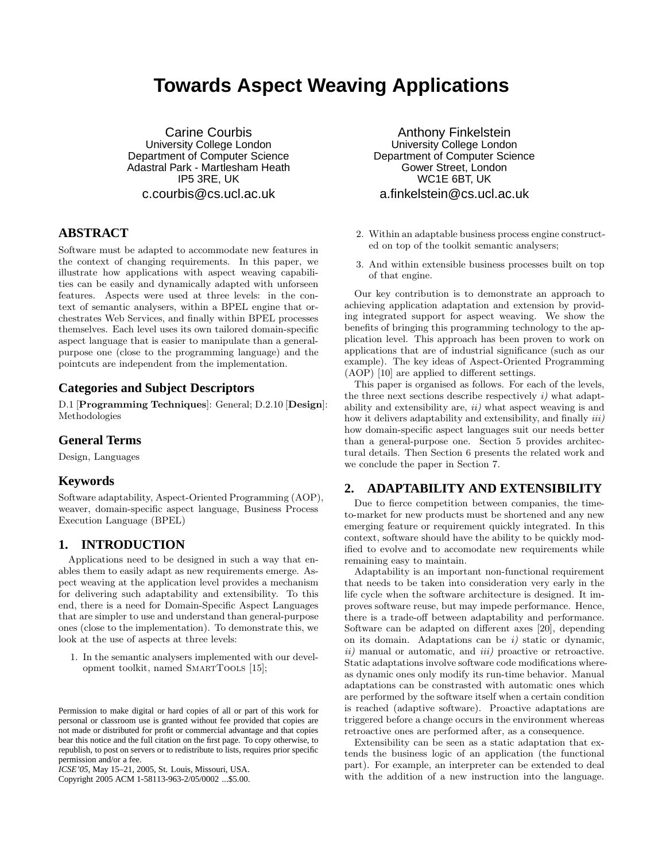# **Towards Aspect Weaving Applications**

Carine Courbis University College London Department of Computer Science Adastral Park - Martlesham Heath IP5 3RE, UK c.courbis@cs.ucl.ac.uk

# **ABSTRACT**

Software must be adapted to accommodate new features in the context of changing requirements. In this paper, we illustrate how applications with aspect weaving capabilities can be easily and dynamically adapted with unforseen features. Aspects were used at three levels: in the context of semantic analysers, within a BPEL engine that orchestrates Web Services, and finally within BPEL processes themselves. Each level uses its own tailored domain-specific aspect language that is easier to manipulate than a generalpurpose one (close to the programming language) and the pointcuts are independent from the implementation.

# **Categories and Subject Descriptors**

D.1 [Programming Techniques]: General; D.2.10 [Design]: Methodologies

# **General Terms**

Design, Languages

# **Keywords**

Software adaptability, Aspect-Oriented Programming (AOP), weaver, domain-specific aspect language, Business Process Execution Language (BPEL)

# **1. INTRODUCTION**

Applications need to be designed in such a way that enables them to easily adapt as new requirements emerge. Aspect weaving at the application level provides a mechanism for delivering such adaptability and extensibility. To this end, there is a need for Domain-Specific Aspect Languages that are simpler to use and understand than general-purpose ones (close to the implementation). To demonstrate this, we look at the use of aspects at three levels:

1. In the semantic analysers implemented with our development toolkit, named SmartTools [15];

Permission to make digital or hard copies of all or part of this work for personal or classroom use is granted without fee provided that copies are not made or distributed for profit or commercial advantage and that copies bear this notice and the full citation on the first page. To copy otherwise, to republish, to post on servers or to redistribute to lists, requires prior specific permission and/or a fee.

*ICSE'05,* May 15–21, 2005, St. Louis, Missouri, USA.

Copyright 2005 ACM 1-58113-963-2/05/0002 ...\$5.00.

Anthony Finkelstein University College London Department of Computer Science Gower Street, London WC1E 6BT, UK a.finkelstein@cs.ucl.ac.uk

- 2. Within an adaptable business process engine constructed on top of the toolkit semantic analysers;
- 3. And within extensible business processes built on top of that engine.

Our key contribution is to demonstrate an approach to achieving application adaptation and extension by providing integrated support for aspect weaving. We show the benefits of bringing this programming technology to the application level. This approach has been proven to work on applications that are of industrial significance (such as our example). The key ideas of Aspect-Oriented Programming (AOP) [10] are applied to different settings.

This paper is organised as follows. For each of the levels, the three next sections describe respectively  $i$ ) what adaptability and extensibility are,  $ii)$  what aspect weaving is and how it delivers adaptability and extensibility, and finally *iii*) how domain-specific aspect languages suit our needs better than a general-purpose one. Section 5 provides architectural details. Then Section 6 presents the related work and we conclude the paper in Section 7.

### **2. ADAPTABILITY AND EXTENSIBILITY**

Due to fierce competition between companies, the timeto-market for new products must be shortened and any new emerging feature or requirement quickly integrated. In this context, software should have the ability to be quickly modified to evolve and to accomodate new requirements while remaining easy to maintain.

Adaptability is an important non-functional requirement that needs to be taken into consideration very early in the life cycle when the software architecture is designed. It improves software reuse, but may impede performance. Hence, there is a trade-off between adaptability and performance. Software can be adapted on different axes [20], depending on its domain. Adaptations can be  $i$ ) static or dynamic,  $ii)$  manual or automatic, and  $iii)$  proactive or retroactive. Static adaptations involve software code modifications whereas dynamic ones only modify its run-time behavior. Manual adaptations can be constrasted with automatic ones which are performed by the software itself when a certain condition is reached (adaptive software). Proactive adaptations are triggered before a change occurs in the environment whereas retroactive ones are performed after, as a consequence.

Extensibility can be seen as a static adaptation that extends the business logic of an application (the functional part). For example, an interpreter can be extended to deal with the addition of a new instruction into the language.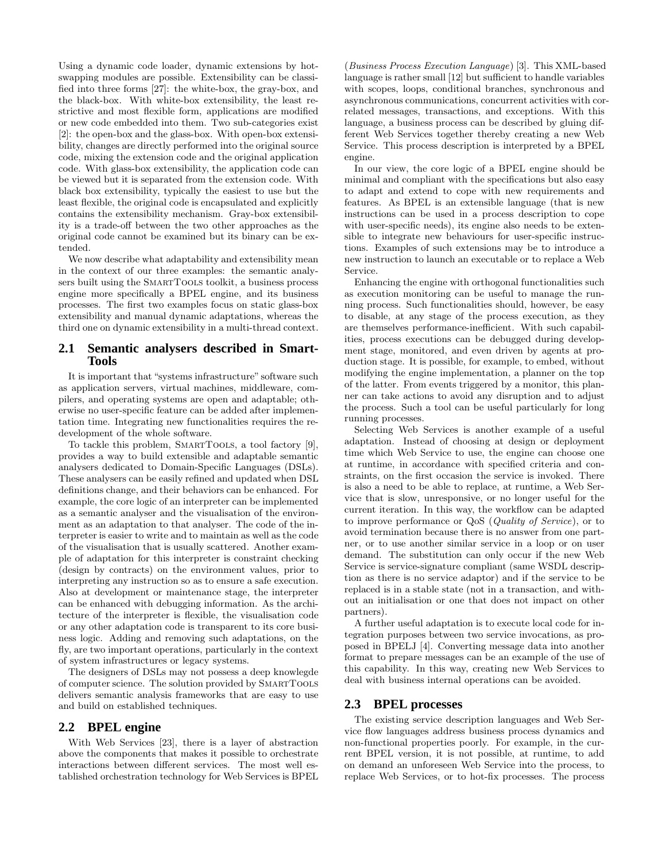Using a dynamic code loader, dynamic extensions by hotswapping modules are possible. Extensibility can be classified into three forms [27]: the white-box, the gray-box, and the black-box. With white-box extensibility, the least restrictive and most flexible form, applications are modified or new code embedded into them. Two sub-categories exist [2]: the open-box and the glass-box. With open-box extensibility, changes are directly performed into the original source code, mixing the extension code and the original application code. With glass-box extensibility, the application code can be viewed but it is separated from the extension code. With black box extensibility, typically the easiest to use but the least flexible, the original code is encapsulated and explicitly contains the extensibility mechanism. Gray-box extensibility is a trade-off between the two other approaches as the original code cannot be examined but its binary can be extended.

We now describe what adaptability and extensibility mean in the context of our three examples: the semantic analysers built using the SMARTTOOLS toolkit, a business process engine more specifically a BPEL engine, and its business processes. The first two examples focus on static glass-box extensibility and manual dynamic adaptations, whereas the third one on dynamic extensibility in a multi-thread context.

## **2.1 Semantic analysers described in Smart-Tools**

It is important that "systems infrastructure" software such as application servers, virtual machines, middleware, compilers, and operating systems are open and adaptable; otherwise no user-specific feature can be added after implementation time. Integrating new functionalities requires the redevelopment of the whole software.

To tackle this problem, SMARTTOOLS, a tool factory [9], provides a way to build extensible and adaptable semantic analysers dedicated to Domain-Specific Languages (DSLs). These analysers can be easily refined and updated when DSL definitions change, and their behaviors can be enhanced. For example, the core logic of an interpreter can be implemented as a semantic analyser and the visualisation of the environment as an adaptation to that analyser. The code of the interpreter is easier to write and to maintain as well as the code of the visualisation that is usually scattered. Another example of adaptation for this interpreter is constraint checking (design by contracts) on the environment values, prior to interpreting any instruction so as to ensure a safe execution. Also at development or maintenance stage, the interpreter can be enhanced with debugging information. As the architecture of the interpreter is flexible, the visualisation code or any other adaptation code is transparent to its core business logic. Adding and removing such adaptations, on the fly, are two important operations, particularly in the context of system infrastructures or legacy systems.

The designers of DSLs may not possess a deep knowlegde of computer science. The solution provided by SmartTools delivers semantic analysis frameworks that are easy to use and build on established techniques.

### **2.2 BPEL engine**

With Web Services [23], there is a layer of abstraction above the components that makes it possible to orchestrate interactions between different services. The most well established orchestration technology for Web Services is BPEL

(Business Process Execution Language) [3]. This XML-based language is rather small [12] but sufficient to handle variables with scopes, loops, conditional branches, synchronous and asynchronous communications, concurrent activities with correlated messages, transactions, and exceptions. With this language, a business process can be described by gluing different Web Services together thereby creating a new Web Service. This process description is interpreted by a BPEL engine.

In our view, the core logic of a BPEL engine should be minimal and compliant with the specifications but also easy to adapt and extend to cope with new requirements and features. As BPEL is an extensible language (that is new instructions can be used in a process description to cope with user-specific needs), its engine also needs to be extensible to integrate new behaviours for user-specific instructions. Examples of such extensions may be to introduce a new instruction to launch an executable or to replace a Web Service.

Enhancing the engine with orthogonal functionalities such as execution monitoring can be useful to manage the running process. Such functionalities should, however, be easy to disable, at any stage of the process execution, as they are themselves performance-inefficient. With such capabilities, process executions can be debugged during development stage, monitored, and even driven by agents at production stage. It is possible, for example, to embed, without modifying the engine implementation, a planner on the top of the latter. From events triggered by a monitor, this planner can take actions to avoid any disruption and to adjust the process. Such a tool can be useful particularly for long running processes.

Selecting Web Services is another example of a useful adaptation. Instead of choosing at design or deployment time which Web Service to use, the engine can choose one at runtime, in accordance with specified criteria and constraints, on the first occasion the service is invoked. There is also a need to be able to replace, at runtime, a Web Service that is slow, unresponsive, or no longer useful for the current iteration. In this way, the workflow can be adapted to improve performance or QoS (Quality of Service), or to avoid termination because there is no answer from one partner, or to use another similar service in a loop or on user demand. The substitution can only occur if the new Web Service is service-signature compliant (same WSDL description as there is no service adaptor) and if the service to be replaced is in a stable state (not in a transaction, and without an initialisation or one that does not impact on other partners).

A further useful adaptation is to execute local code for integration purposes between two service invocations, as proposed in BPELJ [4]. Converting message data into another format to prepare messages can be an example of the use of this capability. In this way, creating new Web Services to deal with business internal operations can be avoided.

### **2.3 BPEL processes**

The existing service description languages and Web Service flow languages address business process dynamics and non-functional properties poorly. For example, in the current BPEL version, it is not possible, at runtime, to add on demand an unforeseen Web Service into the process, to replace Web Services, or to hot-fix processes. The process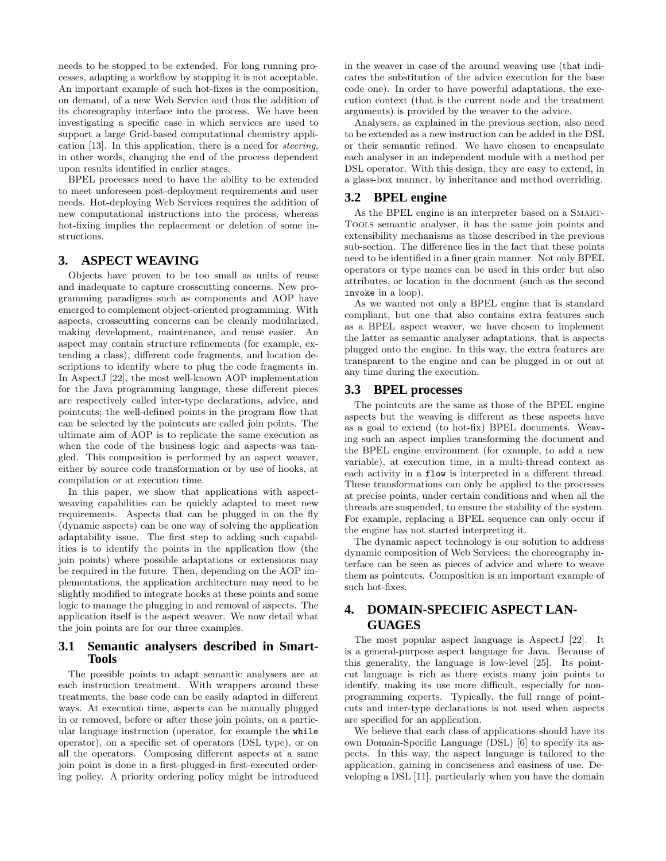needs to be stopped to be extended. For long running processes, adapting a workflow by stopping it is not acceptable. An important example of such hot-fixes is the composition, on demand, of a new Web Service and thus the addition of its choreography interface into the process. We have been investigating a specific case in which services are used to support a large Grid-based computational chemistry application [13]. In this application, there is a need for steering, in other words, changing the end of the process dependent upon results identified in earlier stages.

BPEL processes need to have the ability to be extended to meet unforeseen post-deployment requirements and user needs. Hot-deploying Web Services requires the addition of new computational instructions into the process, whereas hot-fixing implies the replacement or deletion of some instructions.

### **3. ASPECT WEAVING**

Objects have proven to be too small as units of reuse and inadequate to capture crosscutting concerns. New programming paradigms such as components and AOP have emerged to complement object-oriented programming. With aspects, crosscutting concerns can be cleanly modularized, making development, maintenance, and reuse easier. An aspect may contain structure refinements (for example, extending a class), different code fragments, and location descriptions to identify where to plug the code fragments in. In AspectJ [22], the most well-known AOP implementation for the Java programming language, these different pieces are respectively called inter-type declarations, advice, and pointcuts; the well-defined points in the program flow that can be selected by the pointcuts are called join points. The ultimate aim of AOP is to replicate the same execution as when the code of the business logic and aspects was tangled. This composition is performed by an aspect weaver, either by source code transformation or by use of hooks, at compilation or at execution time.

In this paper, we show that applications with aspectweaving capabilities can be quickly adapted to meet new requirements. Aspects that can be plugged in on the fly (dynamic aspects) can be one way of solving the application adaptability issue. The first step to adding such capabilities is to identify the points in the application flow (the join points) where possible adaptations or extensions may be required in the future. Then, depending on the AOP implementations, the application architecture may need to be slightly modified to integrate hooks at these points and some logic to manage the plugging in and removal of aspects. The application itself is the aspect weaver. We now detail what the join points are for our three examples.

### **3.1 Semantic analysers described in Smart-Tools**

The possible points to adapt semantic analysers are at each instruction treatment. With wrappers around these treatments, the base code can be easily adapted in different ways. At execution time, aspects can be manually plugged in or removed, before or after these join points, on a particular language instruction (operator, for example the while operator), on a specific set of operators (DSL type), or on all the operators. Composing different aspects at a same join point is done in a first-plugged-in first-executed ordering policy. A priority ordering policy might be introduced

in the weaver in case of the around weaving use (that indicates the substitution of the advice execution for the base code one). In order to have powerful adaptations, the execution context (that is the current node and the treatment arguments) is provided by the weaver to the advice.

Analysers, as explained in the previous section, also need to be extended as a new instruction can be added in the DSL or their semantic refined. We have chosen to encapsulate each analyser in an independent module with a method per DSL operator. With this design, they are easy to extend, in a glass-box manner, by inheritance and method overriding.

### **3.2 BPEL engine**

As the BPEL engine is an interpreter based on a SMART-Tools semantic analyser, it has the same join points and extensibility mechanisms as those described in the previous sub-section. The difference lies in the fact that these points need to be identified in a finer grain manner. Not only BPEL operators or type names can be used in this order but also attributes, or location in the document (such as the second invoke in a loop).

As we wanted not only a BPEL engine that is standard compliant, but one that also contains extra features such as a BPEL aspect weaver, we have chosen to implement the latter as semantic analyser adaptations, that is aspects plugged onto the engine. In this way, the extra features are transparent to the engine and can be plugged in or out at any time during the execution.

#### **3.3 BPEL processes**

The pointcuts are the same as those of the BPEL engine aspects but the weaving is different as these aspects have as a goal to extend (to hot-fix) BPEL documents. Weaving such an aspect implies transforming the document and the BPEL engine environment (for example, to add a new variable), at execution time, in a multi-thread context as each activity in a flow is interpreted in a different thread. These transformations can only be applied to the processes at precise points, under certain conditions and when all the threads are suspended, to ensure the stability of the system. For example, replacing a BPEL sequence can only occur if the engine has not started interpreting it.

The dynamic aspect technology is our solution to address dynamic composition of Web Services: the choreography interface can be seen as pieces of advice and where to weave them as pointcuts. Composition is an important example of such hot-fixes.

# **4. DOMAIN-SPECIFIC ASPECT LAN-GUAGES**

The most popular aspect language is AspectJ [22]. It is a general-purpose aspect language for Java. Because of this generality, the language is low-level [25]. Its pointcut language is rich as there exists many join points to identify, making its use more difficult, especially for nonprogramming experts. Typically, the full range of pointcuts and inter-type declarations is not used when aspects are specified for an application.

We believe that each class of applications should have its own Domain-Specific Language (DSL) [6] to specify its aspects. In this way, the aspect language is tailored to the application, gaining in conciseness and easiness of use. Developing a DSL [11], particularly when you have the domain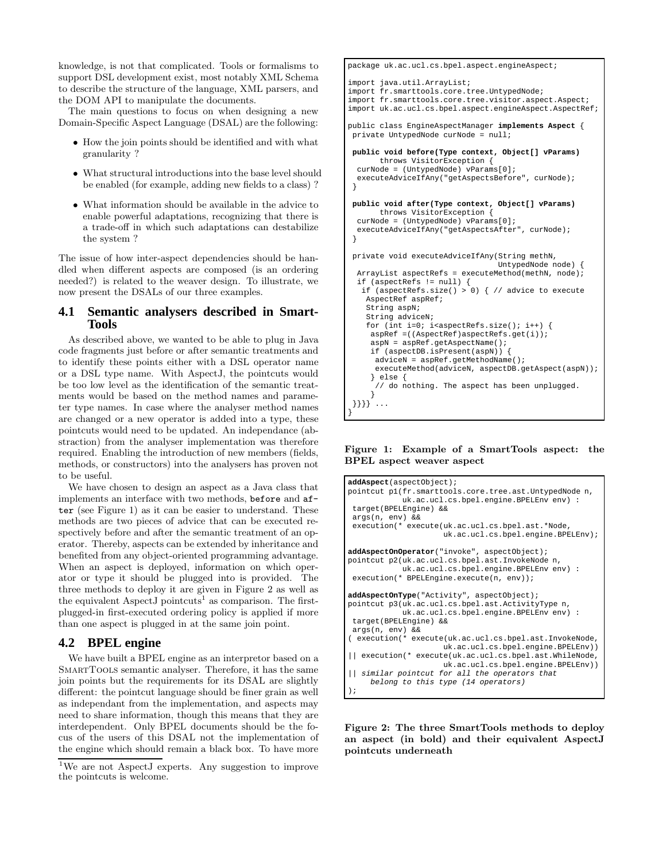knowledge, is not that complicated. Tools or formalisms to support DSL development exist, most notably XML Schema to describe the structure of the language, XML parsers, and the DOM API to manipulate the documents.

The main questions to focus on when designing a new Domain-Specific Aspect Language (DSAL) are the following:

- How the join points should be identified and with what granularity ?
- What structural introductions into the base level should be enabled (for example, adding new fields to a class) ?
- What information should be available in the advice to enable powerful adaptations, recognizing that there is a trade-off in which such adaptations can destabilize the system ?

The issue of how inter-aspect dependencies should be handled when different aspects are composed (is an ordering needed?) is related to the weaver design. To illustrate, we now present the DSALs of our three examples.

### **4.1 Semantic analysers described in Smart-Tools**

As described above, we wanted to be able to plug in Java code fragments just before or after semantic treatments and to identify these points either with a DSL operator name or a DSL type name. With AspectJ, the pointcuts would be too low level as the identification of the semantic treatments would be based on the method names and parameter type names. In case where the analyser method names are changed or a new operator is added into a type, these pointcuts would need to be updated. An independance (abstraction) from the analyser implementation was therefore required. Enabling the introduction of new members (fields, methods, or constructors) into the analysers has proven not to be useful.

We have chosen to design an aspect as a Java class that implements an interface with two methods, before and after (see Figure 1) as it can be easier to understand. These methods are two pieces of advice that can be executed respectively before and after the semantic treatment of an operator. Thereby, aspects can be extended by inheritance and benefited from any object-oriented programming advantage. When an aspect is deployed, information on which operator or type it should be plugged into is provided. The three methods to deploy it are given in Figure 2 as well as the equivalent AspectJ pointcuts<sup>1</sup> as comparison. The firstplugged-in first-executed ordering policy is applied if more than one aspect is plugged in at the same join point.

# **4.2 BPEL engine**

We have built a BPEL engine as an interpretor based on a SmartTools semantic analyser. Therefore, it has the same join points but the requirements for its DSAL are slightly different: the pointcut language should be finer grain as well as independant from the implementation, and aspects may need to share information, though this means that they are interdependent. Only BPEL documents should be the focus of the users of this DSAL not the implementation of the engine which should remain a black box. To have more

```
package uk.ac.ucl.cs.bpel.aspect.engineAspect;
import java.util.ArrayList;
import fr.smarttools.core.tree.UntypedNode;
import fr.smarttools.core.tree.visitor.aspect.Aspect;
import uk.ac.ucl.cs.bpel.aspect.engineAspect.AspectRef;
public class EngineAspectManager implements Aspect {
private UntypedNode curNode = null;
public void before(Type context, Object[] vParams)
       throws VisitorException {
  curNode = (UntypedNode) vParams[0];
  executeAdviceIfAny("getAspectsBefore", curNode);
}
public void after(Type context, Object[] vParams)
       throws VisitorException {
  curNode = (UntypedNode) vParams[0];
  executeAdviceIfAny("getAspectsAfter", curNode);
}
private void executeAdviceIfAny(String methN,
                                 UntypedNode node) {
 ArrayList aspectRefs = executeMethod(methN, node);
  if (aspectRefs != null) {
  if (aspectRefs.size() > 0) { // advice to execute
   AspectRef aspRef;
   String aspN;
    String adviceN;
   for (int i=0; i<aspectRefs.size(); i++) {
    aspRef =((AspectRef)aspectRefs.get(i));
    aspN = aspRef.getAspectName();
    if (aspectDB.isPresent(aspN)) {
     adviceN = aspRef.getMethodName();
      executeMethod(adviceN, aspectDB.getAspect(aspN));
    } else {
      // do nothing. The aspect has been unplugged.
    }
}}}} ...
}
```
Figure 1: Example of a SmartTools aspect: the BPEL aspect weaver aspect

```
addAspect(aspectObject);
pointcut p1(fr.smarttools.core.tree.ast.UntypedNode n,
           uk.ac.ucl.cs.bpel.engine.BPELEnv env) :
target(BPELEngine) &&
args(n, env) &&
execution(* execute(uk.ac.ucl.cs.bpel.ast.*Node,
                     uk.ac.ucl.cs.bpel.engine.BPELEnv);
addAspectOnOperator("invoke", aspectObject);
pointcut p2(uk.ac.ucl.cs.bpel.ast.InvokeNode n,
           uk.ac.ucl.cs.bpel.engine.BPELEnv env) :
execution(* BPELEngine.execute(n, env));
addAspectOnType("Activity", aspectObject);
pointcut p3(uk.ac.ucl.cs.bpel.ast.ActivityType n,
           uk.ac.ucl.cs.bpel.engine.BPELEnv env) :
target(BPELEngine) &&
args(n, env) &&
 execution(* execute(uk.ac.ucl.cs.bpel.ast.InvokeNode,
                    uk.ac.ucl.cs.bpel.engine.BPELEnv))
  execution(* execute(uk.ac.ucl.cs.bpel.ast.WhileNode,
                    uk.ac.ucl.cs.bpel.engine.BPELEnv))
  similar pointcut for all the operators that
    belong to this type (14 operators)
);
```
Figure 2: The three SmartTools methods to deploy an aspect (in bold) and their equivalent AspectJ pointcuts underneath

<sup>1</sup>We are not AspectJ experts. Any suggestion to improve the pointcuts is welcome.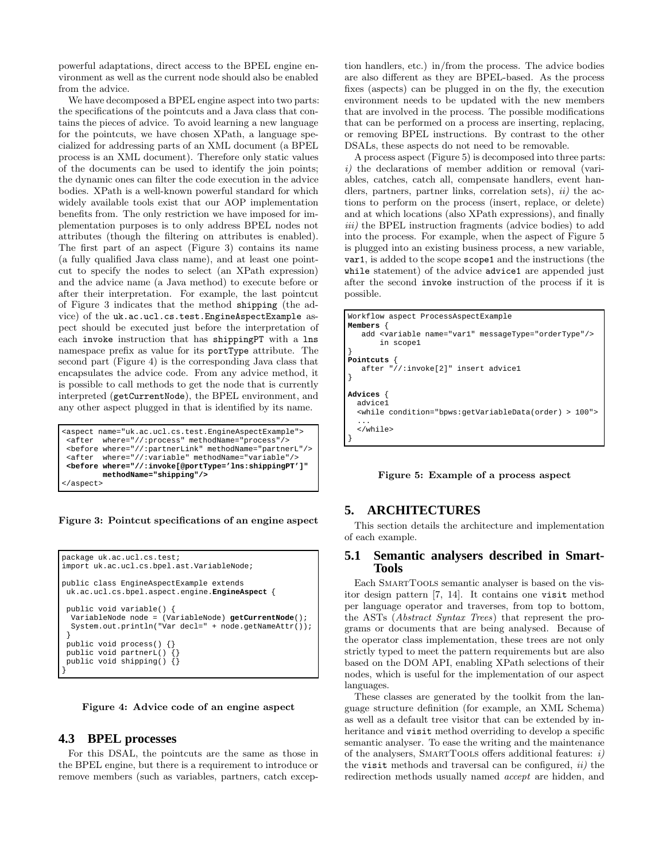powerful adaptations, direct access to the BPEL engine environment as well as the current node should also be enabled from the advice.

We have decomposed a BPEL engine aspect into two parts: the specifications of the pointcuts and a Java class that contains the pieces of advice. To avoid learning a new language for the pointcuts, we have chosen XPath, a language specialized for addressing parts of an XML document (a BPEL process is an XML document). Therefore only static values of the documents can be used to identify the join points; the dynamic ones can filter the code execution in the advice bodies. XPath is a well-known powerful standard for which widely available tools exist that our AOP implementation benefits from. The only restriction we have imposed for implementation purposes is to only address BPEL nodes not attributes (though the filtering on attributes is enabled). The first part of an aspect (Figure 3) contains its name (a fully qualified Java class name), and at least one pointcut to specify the nodes to select (an XPath expression) and the advice name (a Java method) to execute before or after their interpretation. For example, the last pointcut of Figure 3 indicates that the method shipping (the advice) of the uk.ac.ucl.cs.test.EngineAspectExample aspect should be executed just before the interpretation of each invoke instruction that has shippingPT with a lns namespace prefix as value for its portType attribute. The second part (Figure 4) is the corresponding Java class that encapsulates the advice code. From any advice method, it is possible to call methods to get the node that is currently interpreted (getCurrentNode), the BPEL environment, and any other aspect plugged in that is identified by its name.

```
<aspect name="uk.ac.ucl.cs.test.EngineAspectExample">
<after where="//:process" methodName="process"/>
<before where="//:partnerLink" methodName="partnerL"/>
<after where="//:variable" methodName="variable"/>
<before where="//:invoke[@portType='lns:shippingPT']"
        methodName="shipping"/>
</aspect>
```
Figure 3: Pointcut specifications of an engine aspect

```
package uk.ac.ucl.cs.test;
import uk.ac.ucl.cs.bpel.ast.VariableNode;
public class EngineAspectExample extends
uk.ac.ucl.cs.bpel.aspect.engine.EngineAspect {
public void variable() {
 VariableNode node = (VariableNode) getCurrentNode();
 System.out.println("Var decl=" + node.getNameAttr());
 }
public void process() {}
public void partnerL() {}
public void shipping() \{}
}
```


#### **4.3 BPEL processes**

For this DSAL, the pointcuts are the same as those in the BPEL engine, but there is a requirement to introduce or remove members (such as variables, partners, catch exception handlers, etc.) in/from the process. The advice bodies are also different as they are BPEL-based. As the process fixes (aspects) can be plugged in on the fly, the execution environment needs to be updated with the new members that are involved in the process. The possible modifications that can be performed on a process are inserting, replacing, or removing BPEL instructions. By contrast to the other DSALs, these aspects do not need to be removable.

A process aspect (Figure 5) is decomposed into three parts: i) the declarations of member addition or removal (variables, catches, catch all, compensate handlers, event handlers, partners, partner links, correlation sets),  $ii$  the actions to perform on the process (insert, replace, or delete) and at which locations (also XPath expressions), and finally iii) the BPEL instruction fragments (advice bodies) to add into the process. For example, when the aspect of Figure 5 is plugged into an existing business process, a new variable, var1, is added to the scope scope1 and the instructions (the while statement) of the advice advice1 are appended just after the second invoke instruction of the process if it is possible.

```
Workflow aspect ProcessAspectExample
Members {
   add <variable name="var1" messageType="orderType"/>
       in scope1
}
Pointcuts {
   after "//:invoke[2]" insert advice1
}
Advices {
  advice1
  <while condition="bpws:getVariableData(order) > 100">
  ...
  </while>
}
```
Figure 5: Example of a process aspect

# **5. ARCHITECTURES**

This section details the architecture and implementation of each example.

### **5.1 Semantic analysers described in Smart-Tools**

Each SMARTTOOLS semantic analyser is based on the visitor design pattern [7, 14]. It contains one visit method per language operator and traverses, from top to bottom, the ASTs (Abstract Syntax Trees) that represent the programs or documents that are being analysed. Because of the operator class implementation, these trees are not only strictly typed to meet the pattern requirements but are also based on the DOM API, enabling XPath selections of their nodes, which is useful for the implementation of our aspect languages.

These classes are generated by the toolkit from the language structure definition (for example, an XML Schema) as well as a default tree visitor that can be extended by inheritance and visit method overriding to develop a specific semantic analyser. To ease the writing and the maintenance of the analysers, SMARTTOOLS offers additional features:  $i$ ) the visit methods and traversal can be configured,  $ii)$  the redirection methods usually named accept are hidden, and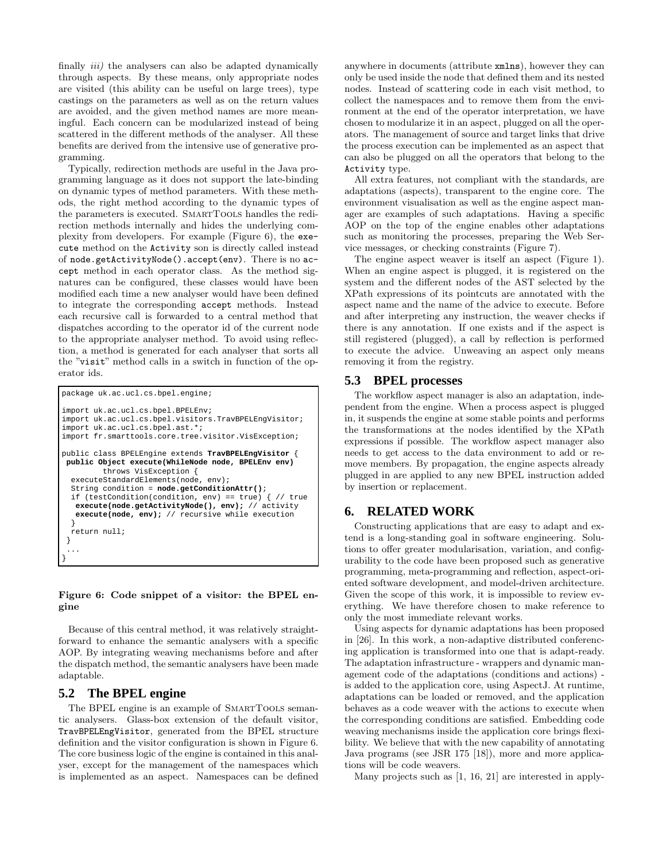finally *iii*) the analysers can also be adapted dynamically through aspects. By these means, only appropriate nodes are visited (this ability can be useful on large trees), type castings on the parameters as well as on the return values are avoided, and the given method names are more meaningful. Each concern can be modularized instead of being scattered in the different methods of the analyser. All these benefits are derived from the intensive use of generative programming.

Typically, redirection methods are useful in the Java programming language as it does not support the late-binding on dynamic types of method parameters. With these methods, the right method according to the dynamic types of the parameters is executed. SMARTTOOLS handles the redirection methods internally and hides the underlying complexity from developers. For example (Figure 6), the execute method on the Activity son is directly called instead of node.getActivityNode().accept(env). There is no accept method in each operator class. As the method signatures can be configured, these classes would have been modified each time a new analyser would have been defined to integrate the corresponding accept methods. Instead each recursive call is forwarded to a central method that dispatches according to the operator id of the current node to the appropriate analyser method. To avoid using reflection, a method is generated for each analyser that sorts all the "visit" method calls in a switch in function of the operator ids.

```
package uk.ac.ucl.cs.bpel.engine;
import uk.ac.ucl.cs.bpel.BPELEnv;
import uk.ac.ucl.cs.bpel.visitors.TravBPELEngVisitor;
import uk.ac.ucl.cs.bpel.ast.*;
import fr.smarttools.core.tree.visitor.VisException;
public class BPELEngine extends TravBPELEngVisitor {
public Object execute(WhileNode node, BPELEnv env)
         throws VisException {
  executeStandardElements(node, env);
  String condition = node.getConditionAttr();
  if (testCondition(condition, env) == true) { // true
   execute(node.getActivityNode(), env); // activity
   execute(node, env); // recursive while execution
  }
  return null;
 }
 ...
}
```
#### Figure 6: Code snippet of a visitor: the BPEL engine

Because of this central method, it was relatively straightforward to enhance the semantic analysers with a specific AOP. By integrating weaving mechanisms before and after the dispatch method, the semantic analysers have been made adaptable.

### **5.2 The BPEL engine**

The BPEL engine is an example of SMARTTOOLS semantic analysers. Glass-box extension of the default visitor, TravBPELEngVisitor, generated from the BPEL structure definition and the visitor configuration is shown in Figure 6. The core business logic of the engine is contained in this analyser, except for the management of the namespaces which is implemented as an aspect. Namespaces can be defined anywhere in documents (attribute xmlns), however they can only be used inside the node that defined them and its nested nodes. Instead of scattering code in each visit method, to collect the namespaces and to remove them from the environment at the end of the operator interpretation, we have chosen to modularize it in an aspect, plugged on all the operators. The management of source and target links that drive the process execution can be implemented as an aspect that can also be plugged on all the operators that belong to the Activity type.

All extra features, not compliant with the standards, are adaptations (aspects), transparent to the engine core. The environment visualisation as well as the engine aspect manager are examples of such adaptations. Having a specific AOP on the top of the engine enables other adaptations such as monitoring the processes, preparing the Web Service messages, or checking constraints (Figure 7).

The engine aspect weaver is itself an aspect (Figure 1). When an engine aspect is plugged, it is registered on the system and the different nodes of the AST selected by the XPath expressions of its pointcuts are annotated with the aspect name and the name of the advice to execute. Before and after interpreting any instruction, the weaver checks if there is any annotation. If one exists and if the aspect is still registered (plugged), a call by reflection is performed to execute the advice. Unweaving an aspect only means removing it from the registry.

### **5.3 BPEL processes**

The workflow aspect manager is also an adaptation, independent from the engine. When a process aspect is plugged in, it suspends the engine at some stable points and performs the transformations at the nodes identified by the XPath expressions if possible. The workflow aspect manager also needs to get access to the data environment to add or remove members. By propagation, the engine aspects already plugged in are applied to any new BPEL instruction added by insertion or replacement.

### **6. RELATED WORK**

Constructing applications that are easy to adapt and extend is a long-standing goal in software engineering. Solutions to offer greater modularisation, variation, and configurability to the code have been proposed such as generative programming, meta-programming and reflection, aspect-oriented software development, and model-driven architecture. Given the scope of this work, it is impossible to review everything. We have therefore chosen to make reference to only the most immediate relevant works.

Using aspects for dynamic adaptations has been proposed in [26]. In this work, a non-adaptive distributed conferencing application is transformed into one that is adapt-ready. The adaptation infrastructure - wrappers and dynamic management code of the adaptations (conditions and actions) is added to the application core, using AspectJ. At runtime, adaptations can be loaded or removed, and the application behaves as a code weaver with the actions to execute when the corresponding conditions are satisfied. Embedding code weaving mechanisms inside the application core brings flexibility. We believe that with the new capability of annotating Java programs (see JSR 175 [18]), more and more applications will be code weavers.

Many projects such as [1, 16, 21] are interested in apply-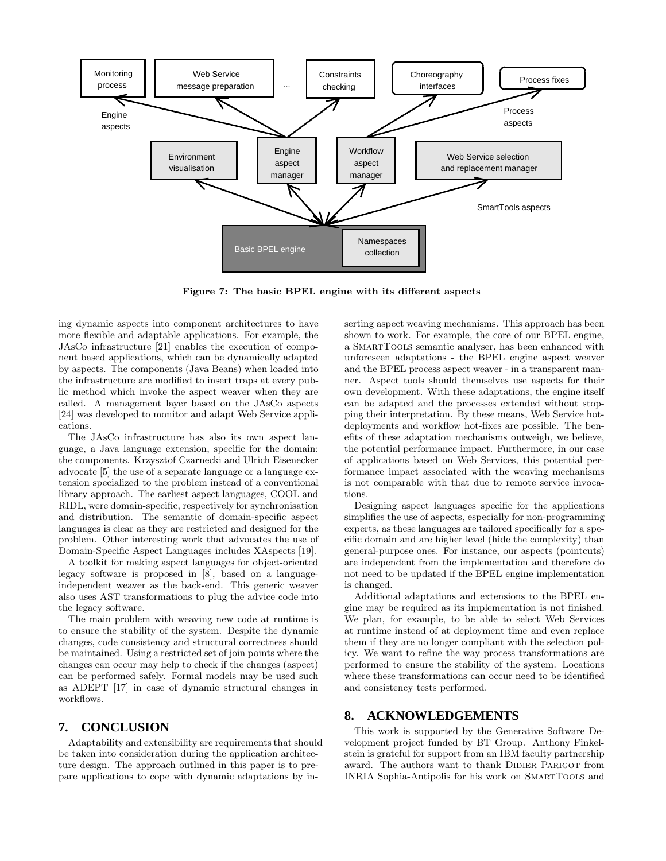

Figure 7: The basic BPEL engine with its different aspects

ing dynamic aspects into component architectures to have more flexible and adaptable applications. For example, the JAsCo infrastructure [21] enables the execution of component based applications, which can be dynamically adapted by aspects. The components (Java Beans) when loaded into the infrastructure are modified to insert traps at every public method which invoke the aspect weaver when they are called. A management layer based on the JAsCo aspects [24] was developed to monitor and adapt Web Service applications.

The JAsCo infrastructure has also its own aspect language, a Java language extension, specific for the domain: the components. Krzysztof Czarnecki and Ulrich Eisenecker advocate [5] the use of a separate language or a language extension specialized to the problem instead of a conventional library approach. The earliest aspect languages, COOL and RIDL, were domain-specific, respectively for synchronisation and distribution. The semantic of domain-specific aspect languages is clear as they are restricted and designed for the problem. Other interesting work that advocates the use of Domain-Specific Aspect Languages includes XAspects [19].

A toolkit for making aspect languages for object-oriented legacy software is proposed in [8], based on a languageindependent weaver as the back-end. This generic weaver also uses AST transformations to plug the advice code into the legacy software.

The main problem with weaving new code at runtime is to ensure the stability of the system. Despite the dynamic changes, code consistency and structural correctness should be maintained. Using a restricted set of join points where the changes can occur may help to check if the changes (aspect) can be performed safely. Formal models may be used such as ADEPT [17] in case of dynamic structural changes in workflows.

# **7. CONCLUSION**

Adaptability and extensibility are requirements that should be taken into consideration during the application architecture design. The approach outlined in this paper is to prepare applications to cope with dynamic adaptations by inserting aspect weaving mechanisms. This approach has been shown to work. For example, the core of our BPEL engine, a SmartTools semantic analyser, has been enhanced with unforeseen adaptations - the BPEL engine aspect weaver and the BPEL process aspect weaver - in a transparent manner. Aspect tools should themselves use aspects for their own development. With these adaptations, the engine itself can be adapted and the processes extended without stopping their interpretation. By these means, Web Service hotdeployments and workflow hot-fixes are possible. The benefits of these adaptation mechanisms outweigh, we believe, the potential performance impact. Furthermore, in our case of applications based on Web Services, this potential performance impact associated with the weaving mechanisms is not comparable with that due to remote service invocations.

Designing aspect languages specific for the applications simplifies the use of aspects, especially for non-programming experts, as these languages are tailored specifically for a specific domain and are higher level (hide the complexity) than general-purpose ones. For instance, our aspects (pointcuts) are independent from the implementation and therefore do not need to be updated if the BPEL engine implementation is changed.

Additional adaptations and extensions to the BPEL engine may be required as its implementation is not finished. We plan, for example, to be able to select Web Services at runtime instead of at deployment time and even replace them if they are no longer compliant with the selection policy. We want to refine the way process transformations are performed to ensure the stability of the system. Locations where these transformations can occur need to be identified and consistency tests performed.

### **8. ACKNOWLEDGEMENTS**

This work is supported by the Generative Software Development project funded by BT Group. Anthony Finkelstein is grateful for support from an IBM faculty partnership award. The authors want to thank DIDIER PARIGOT from INRIA Sophia-Antipolis for his work on SmartTools and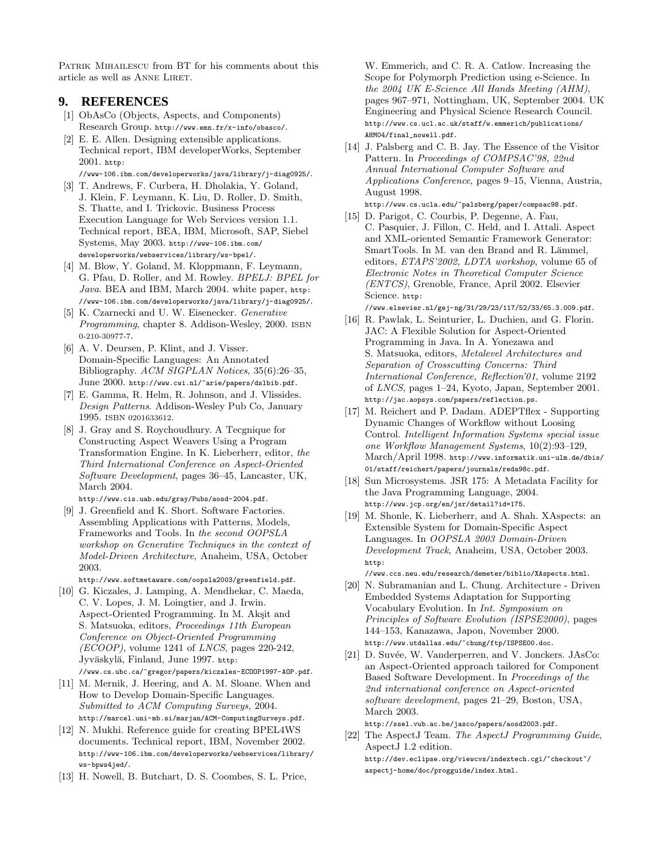PATRIK MIHAILESCU from BT for his comments about this article as well as ANNE LIRET.

# **9. REFERENCES**

- [1] ObAsCo (Objects, Aspects, and Components) Research Group. http://www.emn.fr/x-info/obasco/.
- [2] E. E. Allen. Designing extensible applications. Technical report, IBM developerWorks, September 2001. http:

//www-106.ibm.com/developerworks/java/library/j-diag0925/.

- [3] T. Andrews, F. Curbera, H. Dholakia, Y. Goland, J. Klein, F. Leymann, K. Liu, D. Roller, D. Smith, S. Thatte, and I. Trickovic. Business Process Execution Language for Web Services version 1.1. Technical report, BEA, IBM, Microsoft, SAP, Siebel Systems, May 2003. http://www-106.ibm.com/ developerworks/webservices/library/ws-bpel/.
- [4] M. Blow, Y. Goland, M. Kloppmann, F. Leymann, G. Pfau, D. Roller, and M. Rowley. BPELJ: BPEL for Java. BEA and IBM, March 2004. white paper, http: //www-106.ibm.com/developerworks/java/library/j-diag0925/.
- [5] K. Czarnecki and U. W. Eisenecker. Generative Programming, chapter 8. Addison-Wesley, 2000. ISBN 0-210-30977-7.
- [6] A. V. Deursen, P. Klint, and J. Visser. Domain-Specific Languages: An Annotated Bibliography. ACM SIGPLAN Notices, 35(6):26–35, June 2000. http://www.cwi.nl/~arie/papers/dslbib.pdf.
- [7] E. Gamma, R. Helm, R. Johnson, and J. Vlissides. Design Patterns. Addison-Wesley Pub Co, January 1995. ISBN 0201633612.
- [8] J. Gray and S. Roychoudhury. A Tecgnique for Constructing Aspect Weavers Using a Program Transformation Engine. In K. Lieberherr, editor, the Third International Conference on Aspect-Oriented Software Development, pages 36–45, Lancaster, UK, March 2004.

http://www.cis.uab.edu/gray/Pubs/aosd-2004.pdf.

[9] J. Greenfield and K. Short. Software Factories. Assembling Applications with Patterns, Models, Frameworks and Tools. In the second OOPSLA workshop on Generative Techniques in the context of Model-Driven Architecture, Anaheim, USA, October 2003.

http://www.softmetaware.com/oopsla2003/greenfield.pdf.

- [10] G. Kiczales, J. Lamping, A. Mendhekar, C. Maeda, C. V. Lopes, J. M. Loingtier, and J. Irwin. Aspect-Oriented Programming. In M. Aksit and S. Matsuoka, editors, Proceedings 11th European Conference on Object-Oriented Programming  $(ECOOP)$ , volume 1241 of *LNCS*, pages 220-242, Jyväskylä, Finland, June 1997. http: //www.cs.ubc.ca/~gregor/papers/kiczales-ECOOP1997-AOP.pdf.
- [11] M. Mernik, J. Heering, and A. M. Sloane. When and How to Develop Domain-Specific Languages. Submitted to ACM Computing Surveys, 2004. http://marcel.uni-mb.si/marjan/ACM-ComputingSurveys.pdf.
- [12] N. Mukhi. Reference guide for creating BPEL4WS documents. Technical report, IBM, November 2002. http://www-106.ibm.com/developerworks/webservices/library/ ws-bpws4jed/.
- [13] H. Nowell, B. Butchart, D. S. Coombes, S. L. Price,

W. Emmerich, and C. R. A. Catlow. Increasing the Scope for Polymorph Prediction using e-Science. In the 2004 UK E-Science All Hands Meeting (AHM), pages 967–971, Nottingham, UK, September 2004. UK Engineering and Physical Science Research Council. http://www.cs.ucl.ac.uk/staff/w.emmerich/publications/ AHM04/final\_nowell.pdf.

[14] J. Palsberg and C. B. Jay. The Essence of the Visitor Pattern. In Proceedings of COMPSAC'98, 22nd Annual International Computer Software and Applications Conference, pages 9–15, Vienna, Austria, August 1998.

http://www.cs.ucla.edu/~palsberg/paper/compsac98.pdf. [15] D. Parigot, C. Courbis, P. Degenne, A. Fau,

C. Pasquier, J. Fillon, C. Held, and I. Attali. Aspect and XML-oriented Semantic Framework Generator: SmartTools. In M. van den Brand and R. Lämmel, editors, ETAPS'2002, LDTA workshop, volume 65 of Electronic Notes in Theoretical Computer Science (ENTCS), Grenoble, France, April 2002. Elsevier Science. http:

//www.elsevier.nl/gej-ng/31/29/23/117/52/33/65.3.009.pdf. [16] R. Pawlak, L. Seinturier, L. Duchien, and G. Florin.

- JAC: A Flexible Solution for Aspect-Oriented Programming in Java. In A. Yonezawa and S. Matsuoka, editors, Metalevel Architectures and Separation of Crosscutting Concerns: Third International Conference, Reflection'01, volume 2192 of LNCS, pages 1–24, Kyoto, Japan, September 2001. http://jac.aopsys.com/papers/reflection.ps.
- [17] M. Reichert and P. Dadam. ADEPTflex Supporting Dynamic Changes of Workflow without Loosing Control. Intelligent Information Systems special issue one Workflow Management Systems, 10(2):93–129, March/April 1998. http://www.informatik.uni-ulm.de/dbis/ 01/staff/reichert/papers/journals/reda98c.pdf.
- [18] Sun Microsystems. JSR 175: A Metadata Facility for the Java Programming Language, 2004. http://www.jcp.org/en/jsr/detail?id=175.
- [19] M. Shonle, K. Lieberherr, and A. Shah. XAspects: an Extensible System for Domain-Specific Aspect Languages. In OOPSLA 2003 Domain-Driven Development Track, Anaheim, USA, October 2003. http: //www.ccs.neu.edu/research/demeter/biblio/XAspects.html.
- [20] N. Subramanian and L. Chung. Architecture Driven Embedded Systems Adaptation for Supporting Vocabulary Evolution. In Int. Symposium on Principles of Software Evolution (ISPSE2000), pages 144–153, Kanazawa, Japon, November 2000. http://www.utdallas.edu/~chung/ftp/ISPSE00.doc.
- [21] D. Suvée, W. Vanderperren, and V. Jonckers. JAsCo: an Aspect-Oriented approach tailored for Component Based Software Development. In Proceedings of the 2nd international conference on Aspect-oriented software development, pages 21–29, Boston, USA, March 2003.

http://ssel.vub.ac.be/jasco/papers/aosd2003.pdf.

[22] The AspectJ Team. The AspectJ Programming Guide, AspectJ 1.2 edition. http://dev.eclipse.org/viewcvs/indextech.cgi/~checkout~/ aspectj-home/doc/progguide/index.html.